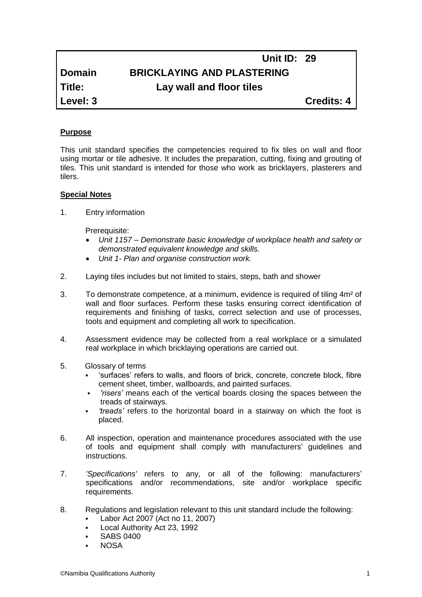# **Domain BRICKLAYING AND PLASTERING**

**Title: Lay wall and floor tiles**

**Level: 3 Credits: 4**

 **Unit ID: 29** 

# **Purpose**

This unit standard specifies the competencies required to fix tiles on wall and floor using mortar or tile adhesive. It includes the preparation, cutting, fixing and grouting of tiles. This unit standard is intended for those who work as bricklayers, plasterers and tilers.

# **Special Notes**

1. Entry information

Prerequisite:

- *Unit 1157 – Demonstrate basic knowledge of workplace health and safety or demonstrated equivalent knowledge and skills.*
- *Unit 1- Plan and organise construction work.*
- 2. Laying tiles includes but not limited to stairs, steps, bath and shower
- 3. To demonstrate competence, at a minimum, evidence is required of tiling 4m² of wall and floor surfaces. Perform these tasks ensuring correct identification of requirements and finishing of tasks, correct selection and use of processes, tools and equipment and completing all work to specification.
- 4. Assessment evidence may be collected from a real workplace or a simulated real workplace in which bricklaying operations are carried out.
- 5. Glossary of terms
	- 'surfaces' refers to walls, and floors of brick, concrete, concrete block, fibre cement sheet, timber, wallboards, and painted surfaces.
	- *'risers'* means each of the vertical boards closing the spaces between the treads of stairways.
	- *'treads'* refers to the horizontal board in a stairway on which the foot is placed.
- 6. All inspection, operation and maintenance procedures associated with the use of tools and equipment shall comply with manufacturers' guidelines and instructions.
- 7. *'Specifications'* refers to any, or all of the following: manufacturers' specifications and/or recommendations, site and/or workplace specific requirements.
- 8. Regulations and legislation relevant to this unit standard include the following:
	- Labor Act 2007 (Act no 11, 2007)
	- Local Authority Act 23, 1992
	- SABS 0400
	- NOSA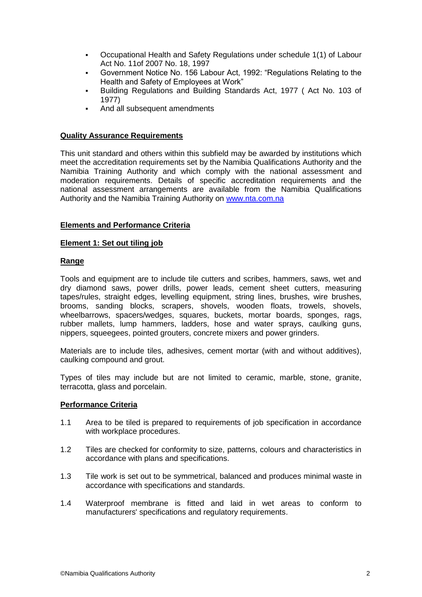- Occupational Health and Safety Regulations under schedule 1(1) of Labour Act No. 11of 2007 No. 18, 1997
- Government Notice No. 156 Labour Act, 1992: "Regulations Relating to the Health and Safety of Employees at Work"
- Building Regulations and Building Standards Act, 1977 ( Act No. 103 of 1977)
- And all subsequent amendments

# **Quality Assurance Requirements**

This unit standard and others within this subfield may be awarded by institutions which meet the accreditation requirements set by the Namibia Qualifications Authority and the Namibia Training Authority and which comply with the national assessment and moderation requirements. Details of specific accreditation requirements and the national assessment arrangements are available from the Namibia Qualifications Authority and the Namibia Training Authority on [www.nta.com.na](http://www.nta.com.na/)

# **Elements and Performance Criteria**

# **Element 1: Set out tiling job**

# **Range**

Tools and equipment are to include tile cutters and scribes, hammers, saws, wet and dry diamond saws, power drills, power leads, cement sheet cutters, measuring tapes/rules, straight edges, levelling equipment, string lines, brushes, wire brushes, brooms, sanding blocks, scrapers, shovels, wooden floats, trowels, shovels, wheelbarrows, spacers/wedges, squares, buckets, mortar boards, sponges, rags, rubber mallets, lump hammers, ladders, hose and water sprays, caulking guns, nippers, squeegees, pointed grouters, concrete mixers and power grinders.

Materials are to include tiles, adhesives, cement mortar (with and without additives), caulking compound and grout.

Types of tiles may include but are not limited to ceramic, marble, stone, granite, terracotta, glass and porcelain.

# **Performance Criteria**

- 1.1 Area to be tiled is prepared to requirements of job specification in accordance with workplace procedures.
- 1.2 Tiles are checked for conformity to size, patterns, colours and characteristics in accordance with plans and specifications.
- 1.3 Tile work is set out to be symmetrical, balanced and produces minimal waste in accordance with specifications and standards.
- 1.4 Waterproof membrane is fitted and laid in wet areas to conform to manufacturers' specifications and regulatory requirements.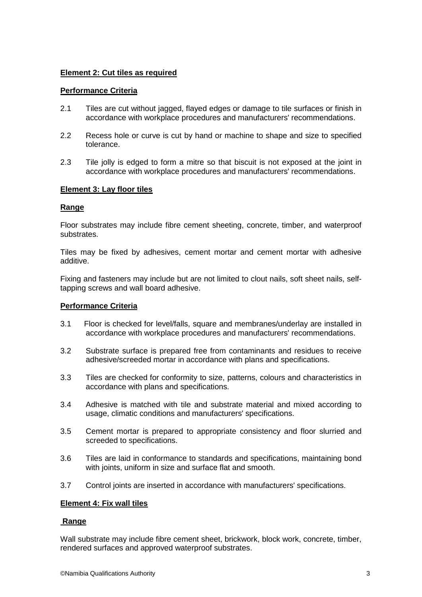# **Element 2: Cut tiles as required**

### **Performance Criteria**

- 2.1 Tiles are cut without jagged, flayed edges or damage to tile surfaces or finish in accordance with workplace procedures and manufacturers' recommendations.
- 2.2 Recess hole or curve is cut by hand or machine to shape and size to specified tolerance.
- 2.3 Tile jolly is edged to form a mitre so that biscuit is not exposed at the joint in accordance with workplace procedures and manufacturers' recommendations.

#### **Element 3: Lay floor tiles**

#### **Range**

Floor substrates may include fibre cement sheeting, concrete, timber, and waterproof substrates.

Tiles may be fixed by adhesives, cement mortar and cement mortar with adhesive additive.

Fixing and fasteners may include but are not limited to clout nails, soft sheet nails, selftapping screws and wall board adhesive.

#### **Performance Criteria**

- 3.1 Floor is checked for level/falls, square and membranes/underlay are installed in accordance with workplace procedures and manufacturers' recommendations.
- 3.2 Substrate surface is prepared free from contaminants and residues to receive adhesive/screeded mortar in accordance with plans and specifications.
- 3.3 Tiles are checked for conformity to size, patterns, colours and characteristics in accordance with plans and specifications.
- 3.4 Adhesive is matched with tile and substrate material and mixed according to usage, climatic conditions and manufacturers' specifications.
- 3.5 Cement mortar is prepared to appropriate consistency and floor slurried and screeded to specifications.
- 3.6 Tiles are laid in conformance to standards and specifications, maintaining bond with joints, uniform in size and surface flat and smooth.
- 3.7 Control joints are inserted in accordance with manufacturers' specifications.

#### **Element 4: Fix wall tiles**

#### **Range**

Wall substrate may include fibre cement sheet, brickwork, block work, concrete, timber, rendered surfaces and approved waterproof substrates.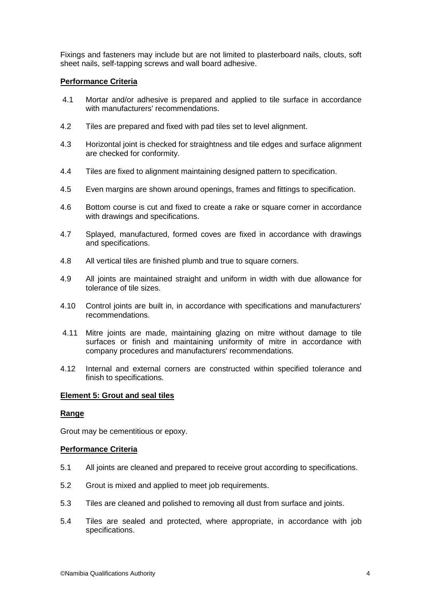Fixings and fasteners may include but are not limited to plasterboard nails, clouts, soft sheet nails, self-tapping screws and wall board adhesive.

# **Performance Criteria**

- 4.1 Mortar and/or adhesive is prepared and applied to tile surface in accordance with manufacturers' recommendations.
- 4.2 Tiles are prepared and fixed with pad tiles set to level alignment.
- 4.3 Horizontal joint is checked for straightness and tile edges and surface alignment are checked for conformity.
- 4.4 Tiles are fixed to alignment maintaining designed pattern to specification.
- 4.5 Even margins are shown around openings, frames and fittings to specification.
- 4.6 Bottom course is cut and fixed to create a rake or square corner in accordance with drawings and specifications.
- 4.7 Splayed, manufactured, formed coves are fixed in accordance with drawings and specifications.
- 4.8 All vertical tiles are finished plumb and true to square corners.
- 4.9 All joints are maintained straight and uniform in width with due allowance for tolerance of tile sizes.
- 4.10 Control joints are built in, in accordance with specifications and manufacturers' recommendations.
- 4.11 Mitre joints are made, maintaining glazing on mitre without damage to tile surfaces or finish and maintaining uniformity of mitre in accordance with company procedures and manufacturers' recommendations.
- 4.12 Internal and external corners are constructed within specified tolerance and finish to specifications.

#### **Element 5: Grout and seal tiles**

#### **Range**

Grout may be cementitious or epoxy.

#### **Performance Criteria**

- 5.1 All joints are cleaned and prepared to receive grout according to specifications.
- 5.2 Grout is mixed and applied to meet job requirements.
- 5.3 Tiles are cleaned and polished to removing all dust from surface and joints.
- 5.4 Tiles are sealed and protected, where appropriate, in accordance with job specifications.